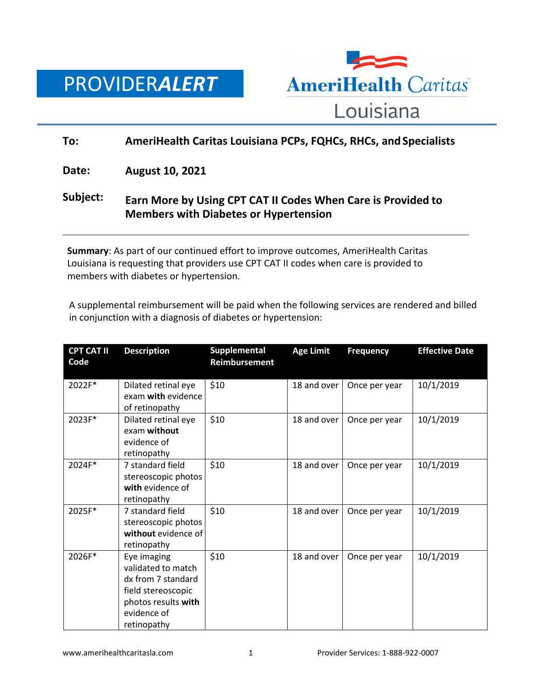



## **To: AmeriHealth Caritas Louisiana PCPs, FQHCs, RHCs, and Specialists**

**Date: August 10, 2021**

## **Subject: Earn More by Using CPT CAT II Codes When Care is Provided to Members with Diabetes or Hypertension**

**Summary**: As part of our continued effort to improve outcomes, AmeriHealth Caritas Louisiana is requesting that providers use CPT CAT II codes when care is provided to members with diabetes or hypertension.

A supplemental reimbursement will be paid when the following services are rendered and billed in conjunction with a diagnosis of diabetes or hypertension:

| <b>CPT CAT II</b><br>Code | <b>Description</b>                                                                                                                 | Supplemental<br>Reimbursement | <b>Age Limit</b> | <b>Frequency</b> | <b>Effective Date</b> |
|---------------------------|------------------------------------------------------------------------------------------------------------------------------------|-------------------------------|------------------|------------------|-----------------------|
| 2022F*                    | Dilated retinal eye<br>exam with evidence<br>of retinopathy                                                                        | \$10                          | 18 and over      | Once per year    | 10/1/2019             |
| 2023F*                    | Dilated retinal eye<br>exam without<br>evidence of<br>retinopathy                                                                  | \$10                          | 18 and over      | Once per year    | 10/1/2019             |
| 2024F*                    | 7 standard field<br>stereoscopic photos<br>with evidence of<br>retinopathy                                                         | \$10                          | 18 and over      | Once per year    | 10/1/2019             |
| 2025F*                    | 7 standard field<br>stereoscopic photos<br>without evidence of<br>retinopathy                                                      | \$10                          | 18 and over      | Once per year    | 10/1/2019             |
| 2026F*                    | Eye imaging<br>validated to match<br>dx from 7 standard<br>field stereoscopic<br>photos results with<br>evidence of<br>retinopathy | \$10                          | 18 and over      | Once per year    | 10/1/2019             |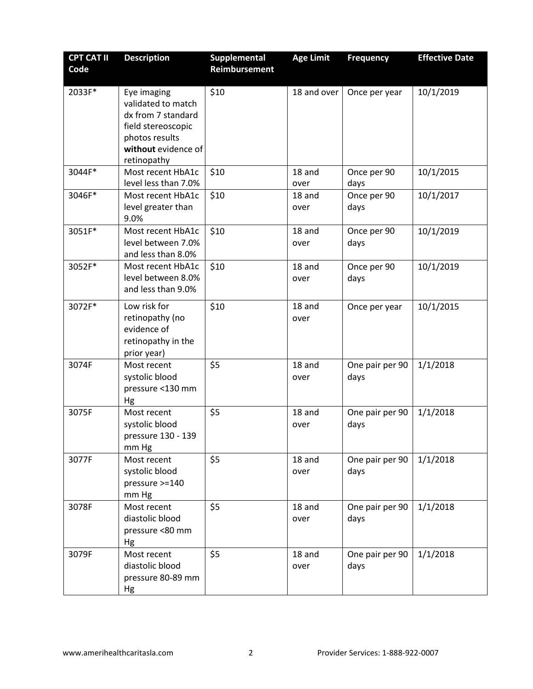| <b>CPT CAT II</b><br>Code | <b>Description</b>                                                                                                                    | Supplemental<br>Reimbursement | <b>Age Limit</b> | <b>Frequency</b>        | <b>Effective Date</b> |
|---------------------------|---------------------------------------------------------------------------------------------------------------------------------------|-------------------------------|------------------|-------------------------|-----------------------|
| 2033F*                    | Eye imaging<br>validated to match<br>dx from 7 standard<br>field stereoscopic<br>photos results<br>without evidence of<br>retinopathy | \$10                          | 18 and over      | Once per year           | 10/1/2019             |
| 3044F*                    | Most recent HbA1c<br>level less than 7.0%                                                                                             | \$10                          | 18 and<br>over   | Once per 90<br>days     | 10/1/2015             |
| 3046F*                    | Most recent HbA1c<br>level greater than<br>9.0%                                                                                       | \$10                          | 18 and<br>over   | Once per 90<br>days     | 10/1/2017             |
| 3051F*                    | Most recent HbA1c<br>level between 7.0%<br>and less than 8.0%                                                                         | \$10                          | 18 and<br>over   | Once per 90<br>days     | 10/1/2019             |
| 3052F*                    | Most recent HbA1c<br>level between 8.0%<br>and less than 9.0%                                                                         | \$10                          | 18 and<br>over   | Once per 90<br>days     | 10/1/2019             |
| 3072F*                    | Low risk for<br>retinopathy (no<br>evidence of<br>retinopathy in the<br>prior year)                                                   | \$10                          | 18 and<br>over   | Once per year           | 10/1/2015             |
| 3074F                     | Most recent<br>systolic blood<br>pressure <130 mm<br>Hg                                                                               | \$5                           | 18 and<br>over   | One pair per 90<br>days | 1/1/2018              |
| 3075F                     | Most recent<br>systolic blood<br>pressure 130 - 139<br>mm Hg                                                                          | \$5                           | 18 and<br>over   | One pair per 90<br>days | 1/1/2018              |
| 3077F                     | Most recent<br>systolic blood<br>pressure >=140<br>mm Hg                                                                              | \$5                           | 18 and<br>over   | One pair per 90<br>days | 1/1/2018              |
| 3078F                     | Most recent<br>diastolic blood<br>pressure <80 mm<br>Hg                                                                               | \$5                           | 18 and<br>over   | One pair per 90<br>days | 1/1/2018              |
| 3079F                     | Most recent<br>diastolic blood<br>pressure 80-89 mm<br>Hg                                                                             | \$5                           | 18 and<br>over   | One pair per 90<br>days | 1/1/2018              |